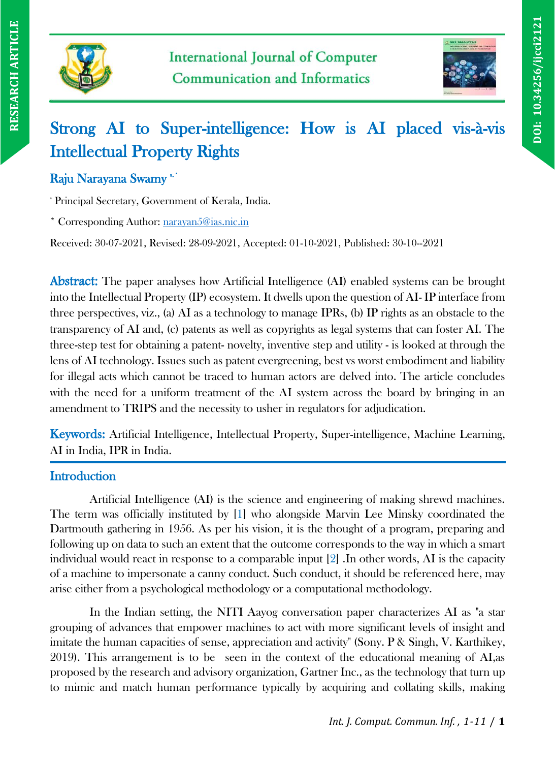



# Strong AI to Super-intelligence: How is AI placed vis-à-vis Intellectual Property Rights

# Raju Narayana Swamy \*\*

<sup>a</sup> Principal Secretary, Government of Kerala, India.

\* Corresponding Author: [narayan5@ias.nic.in](mailto:narayan5@ias.nic.in)

Received: 30-07-2021, Revised: 28-09-2021, Accepted: 01-10-2021, Published: 30-10--2021

Abstract: The paper analyses how Artificial Intelligence (AI) enabled systems can be brought into the Intellectual Property (IP) ecosystem. It dwells upon the question of AI- IP interface from three perspectives, viz., (a) AI as a technology to manage IPRs, (b) IP rights as an obstacle to the transparency of AI and, (c) patents as well as copyrights as legal systems that can foster AI. The three-step test for obtaining a patent- novelty, inventive step and utility - is looked at through the lens of AI technology. Issues such as patent evergreening, best vs worst embodiment and liability for illegal acts which cannot be traced to human actors are delved into. The article concludes with the need for a uniform treatment of the AI system across the board by bringing in an amendment to TRIPS and the necessity to usher in regulators for adjudication.

Keywords: Artificial Intelligence, Intellectual Property, Super-intelligence, Machine Learning, AI in India, IPR in India.

# **Introduction**

Artificial Intelligence (AI) is the science and engineering of making shrewd machines. The term was officially instituted by [1] who alongside Marvin Lee Minsky coordinated the Dartmouth gathering in 1956. As per his vision, it is the thought of a program, preparing and following up on data to such an extent that the outcome corresponds to the way in which a smart individual would react in response to a comparable input [2] .In other words, AI is the capacity of a machine to impersonate a canny conduct. Such conduct, it should be referenced here, may arise either from a psychological methodology or a computational methodology.

In the Indian setting, the NITI Aayog conversation paper characterizes AI as "a star grouping of advances that empower machines to act with more significant levels of insight and imitate the human capacities of sense, appreciation and activity" (Sony. P & Singh, V. Karthikey, 2019). This arrangement is to be seen in the context of the educational meaning of AI,as proposed by the research and advisory organization, Gartner Inc., as the technology that turn up to mimic and match human performance typically by acquiring and collating skills, making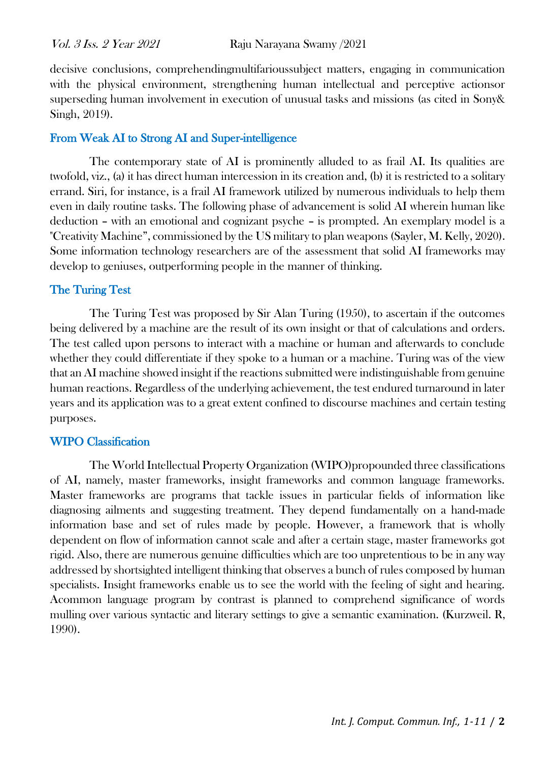decisive conclusions, comprehendingmultifarioussubject matters, engaging in communication with the physical environment, strengthening human intellectual and perceptive actionsor superseding human involvement in execution of unusual tasks and missions (as cited in Sony& Singh, 2019).

#### From Weak AI to Strong AI and Super-intelligence

The contemporary state of AI is prominently alluded to as frail AI. Its qualities are twofold, viz., (a) it has direct human intercession in its creation and, (b) it is restricted to a solitary errand. Siri, for instance, is a frail AI framework utilized by numerous individuals to help them even in daily routine tasks. The following phase of advancement is solid AI wherein human like deduction – with an emotional and cognizant psyche – is prompted. An exemplary model is a "Creativity Machine", commissioned by the US military to plan weapons (Sayler, M. Kelly, 2020). Some information technology researchers are of the assessment that solid AI frameworks may develop to geniuses, outperforming people in the manner of thinking.

#### The Turing Test

The Turing Test was proposed by Sir Alan Turing (1950), to ascertain if the outcomes being delivered by a machine are the result of its own insight or that of calculations and orders. The test called upon persons to interact with a machine or human and afterwards to conclude whether they could differentiate if they spoke to a human or a machine. Turing was of the view that an AI machine showed insight if the reactions submitted were indistinguishable from genuine human reactions. Regardless of the underlying achievement, the test endured turnaround in later years and its application was to a great extent confined to discourse machines and certain testing purposes.

## WIPO Classification

The World Intellectual Property Organization (WIPO)propounded three classifications of AI, namely, master frameworks, insight frameworks and common language frameworks. Master frameworks are programs that tackle issues in particular fields of information like diagnosing ailments and suggesting treatment. They depend fundamentally on a hand-made information base and set of rules made by people. However, a framework that is wholly dependent on flow of information cannot scale and after a certain stage, master frameworks got rigid. Also, there are numerous genuine difficulties which are too unpretentious to be in any way addressed by shortsighted intelligent thinking that observes a bunch of rules composed by human specialists. Insight frameworks enable us to see the world with the feeling of sight and hearing. Acommon language program by contrast is planned to comprehend significance of words mulling over various syntactic and literary settings to give a semantic examination. (Kurzweil. R, 1990).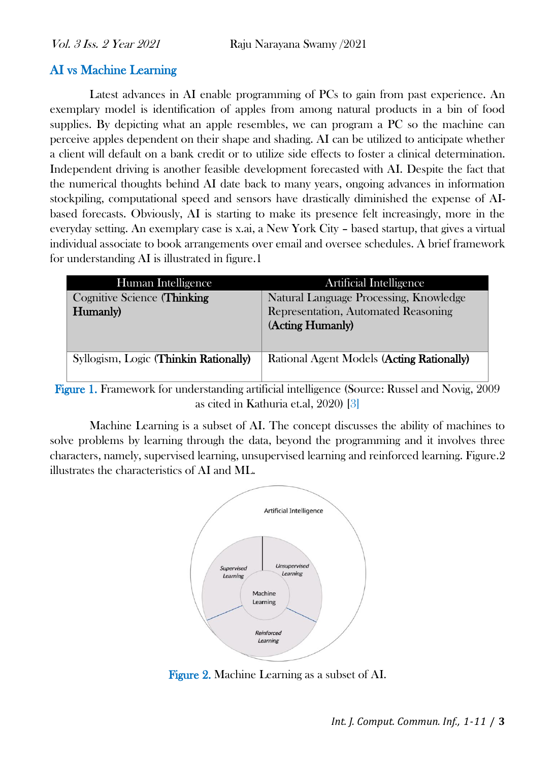# AI vs Machine Learning

Latest advances in AI enable programming of PCs to gain from past experience. An exemplary model is identification of apples from among natural products in a bin of food supplies. By depicting what an apple resembles, we can program a PC so the machine can perceive apples dependent on their shape and shading. AI can be utilized to anticipate whether a client will default on a bank credit or to utilize side effects to foster a clinical determination. Independent driving is another feasible development forecasted with AI. Despite the fact that the numerical thoughts behind AI date back to many years, ongoing advances in information stockpiling, computational speed and sensors have drastically diminished the expense of AIbased forecasts. Obviously, AI is starting to make its presence felt increasingly, more in the everyday setting. An exemplary case is x.ai, a New York City – based startup, that gives a virtual individual associate to book arrangements over email and oversee schedules. A brief framework for understanding AI is illustrated in figure.1

| Human Intelligence                    | Artificial Intelligence                   |
|---------------------------------------|-------------------------------------------|
| <b>Cognitive Science (Thinking</b>    | Natural Language Processing, Knowledge    |
| Humanly)                              | Representation, Automated Reasoning       |
|                                       | (Acting Humanly)                          |
|                                       |                                           |
| Syllogism, Logic (Thinkin Rationally) | Rational Agent Models (Acting Rationally) |
|                                       |                                           |

Figure 1. Framework for understanding artificial intelligence (Source: Russel and Novig, 2009 as cited in Kathuria et.al, 2020) [3]

Machine Learning is a subset of AI. The concept discusses the ability of machines to solve problems by learning through the data, beyond the programming and it involves three characters, namely, supervised learning, unsupervised learning and reinforced learning. Figure.2 illustrates the characteristics of AI and ML.



Figure 2. Machine Learning as a subset of AI.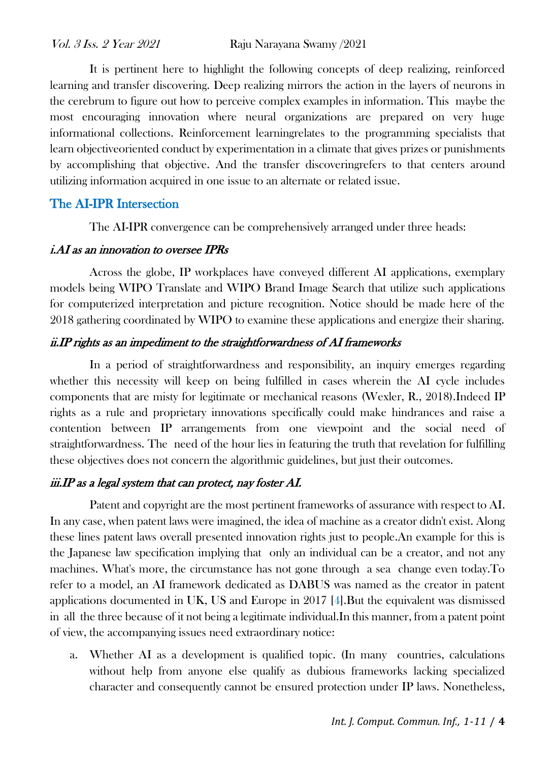It is pertinent here to highlight the following concepts of deep realizing, reinforced learning and transfer discovering. Deep realizing mirrors the action in the layers of neurons in the cerebrum to figure out how to perceive complex examples in information. This maybe the most encouraging innovation where neural organizations are prepared on very huge informational collections. Reinforcement learningrelates to the programming specialists that learn objectiveoriented conduct by experimentation in a climate that gives prizes or punishments by accomplishing that objective. And the transfer discoveringrefers to that centers around utilizing information acquired in one issue to an alternate or related issue.

# The AI-IPR Intersection

The AI-IPR convergence can be comprehensively arranged under three heads:

#### i.AI as an innovation to oversee IPRs

Across the globe, IP workplaces have conveyed different AI applications, exemplary models being WIPO Translate and WIPO Brand Image Search that utilize such applications for computerized interpretation and picture recognition. Notice should be made here of the 2018 gathering coordinated by WIPO to examine these applications and energize their sharing.

# ii.IP rights as an impediment to the straightforwardness of AI frameworks

In a period of straightforwardness and responsibility, an inquiry emerges regarding whether this necessity will keep on being fulfilled in cases wherein the AI cycle includes components that are misty for legitimate or mechanical reasons (Wexler, R., 2018).Indeed IP rights as a rule and proprietary innovations specifically could make hindrances and raise a contention between IP arrangements from one viewpoint and the social need of straightforwardness. The need of the hour lies in featuring the truth that revelation for fulfilling these objectives does not concern the algorithmic guidelines, but just their outcomes.

## iii.IP as a legal system that can protect, nay foster AI.

Patent and copyright are the most pertinent frameworks of assurance with respect to AI. In any case, when patent laws were imagined, the idea of machine as a creator didn't exist. Along these lines patent laws overall presented innovation rights just to people.An example for this is the Japanese law specification implying that only an individual can be a creator, and not any machines. What's more, the circumstance has not gone through a sea change even today.To refer to a model, an AI framework dedicated as DABUS was named as the creator in patent applications documented in UK, US and Europe in 2017 [4].But the equivalent was dismissed in all the three because of it not being a legitimate individual.In this manner, from a patent point of view, the accompanying issues need extraordinary notice:

a. Whether AI as a development is qualified topic. (In many countries, calculations without help from anyone else qualify as dubious frameworks lacking specialized character and consequently cannot be ensured protection under IP laws. Nonetheless,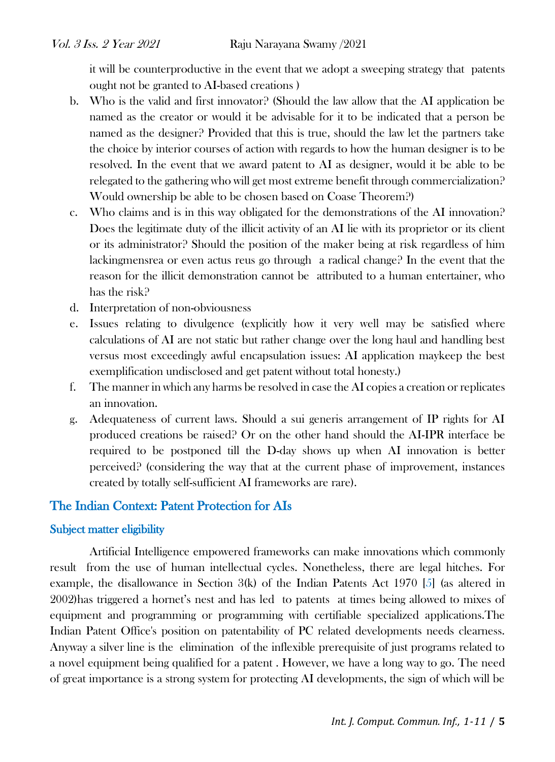it will be counterproductive in the event that we adopt a sweeping strategy that patents ought not be granted to AI-based creations )

- b. Who is the valid and first innovator? (Should the law allow that the AI application be named as the creator or would it be advisable for it to be indicated that a person be named as the designer? Provided that this is true, should the law let the partners take the choice by interior courses of action with regards to how the human designer is to be resolved. In the event that we award patent to AI as designer, would it be able to be relegated to the gathering who will get most extreme benefit through commercialization? Would ownership be able to be chosen based on Coase Theorem?)
- c. Who claims and is in this way obligated for the demonstrations of the AI innovation? Does the legitimate duty of the illicit activity of an AI lie with its proprietor or its client or its administrator? Should the position of the maker being at risk regardless of him lackingmensrea or even actus reus go through a radical change? In the event that the reason for the illicit demonstration cannot be attributed to a human entertainer, who has the risk?
- d. Interpretation of non-obviousness
- e. Issues relating to divulgence (explicitly how it very well may be satisfied where calculations of AI are not static but rather change over the long haul and handling best versus most exceedingly awful encapsulation issues: AI application maykeep the best exemplification undisclosed and get patent without total honesty.)
- f. The manner in which any harms be resolved in case the AI copies a creation or replicates an innovation.
- g. Adequateness of current laws. Should a sui generis arrangement of IP rights for AI produced creations be raised? Or on the other hand should the AI-IPR interface be required to be postponed till the D-day shows up when AI innovation is better perceived? (considering the way that at the current phase of improvement, instances created by totally self-sufficient AI frameworks are rare).

# The Indian Context: Patent Protection for AIs

## Subject matter eligibility

Artificial Intelligence empowered frameworks can make innovations which commonly result from the use of human intellectual cycles. Nonetheless, there are legal hitches. For example, the disallowance in Section 3(k) of the Indian Patents Act 1970 [5] (as altered in 2002)has triggered a hornet's nest and has led to patents at times being allowed to mixes of equipment and programming or programming with certifiable specialized applications.The Indian Patent Office's position on patentability of PC related developments needs clearness. Anyway a silver line is the elimination of the inflexible prerequisite of just programs related to a novel equipment being qualified for a patent . However, we have a long way to go. The need of great importance is a strong system for protecting AI developments, the sign of which will be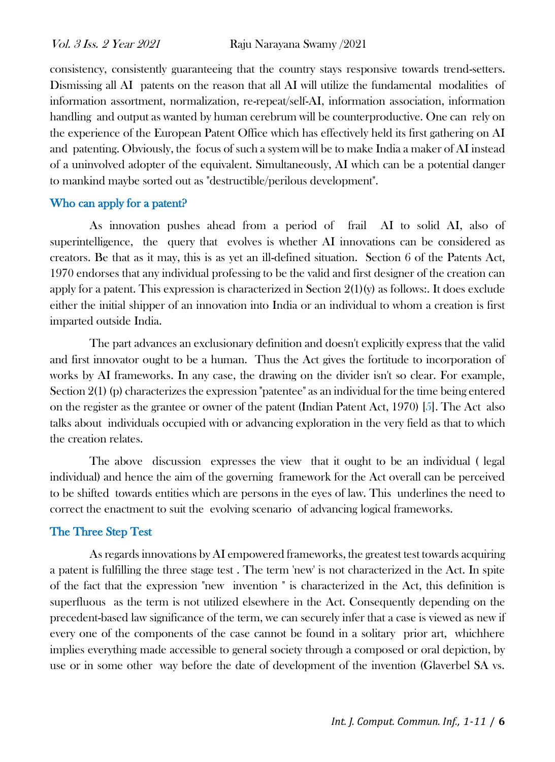consistency, consistently guaranteeing that the country stays responsive towards trend-setters. Dismissing all AI patents on the reason that all AI will utilize the fundamental modalities of information assortment, normalization, re-repeat/self-AI, information association, information handling and output as wanted by human cerebrum will be counterproductive. One can rely on the experience of the European Patent Office which has effectively held its first gathering on AI and patenting. Obviously, the focus of such a system will be to make India a maker of AI instead of a uninvolved adopter of the equivalent. Simultaneously, AI which can be a potential danger to mankind maybe sorted out as "destructible/perilous development".

#### Who can apply for a patent?

As innovation pushes ahead from a period of frail AI to solid AI, also of superintelligence, the query that evolves is whether AI innovations can be considered as creators. Be that as it may, this is as yet an ill-defined situation. Section 6 of the Patents Act, 1970 endorses that any individual professing to be the valid and first designer of the creation can apply for a patent. This expression is characterized in Section  $2(1)(y)$  as follows:. It does exclude either the initial shipper of an innovation into India or an individual to whom a creation is first imparted outside India.

The part advances an exclusionary definition and doesn't explicitly express that the valid and first innovator ought to be a human. Thus the Act gives the fortitude to incorporation of works by AI frameworks. In any case, the drawing on the divider isn't so clear. For example, Section 2(1) (p) characterizes the expression "patentee" as an individual for the time being entered on the register as the grantee or owner of the patent (Indian Patent Act, 1970) [5]. The Act also talks about individuals occupied with or advancing exploration in the very field as that to which the creation relates.

The above discussion expresses the view that it ought to be an individual ( legal individual) and hence the aim of the governing framework for the Act overall can be perceived to be shifted towards entities which are persons in the eyes of law. This underlines the need to correct the enactment to suit the evolving scenario of advancing logical frameworks.

## The Three Step Test

As regards innovations by AI empowered frameworks, the greatest test towards acquiring a patent is fulfilling the three stage test . The term 'new' is not characterized in the Act. In spite of the fact that the expression "new invention " is characterized in the Act, this definition is superfluous as the term is not utilized elsewhere in the Act. Consequently depending on the precedent-based law significance of the term, we can securely infer that a case is viewed as new if every one of the components of the case cannot be found in a solitary prior art, whichhere implies everything made accessible to general society through a composed or oral depiction, by use or in some other way before the date of development of the invention (Glaverbel SA vs.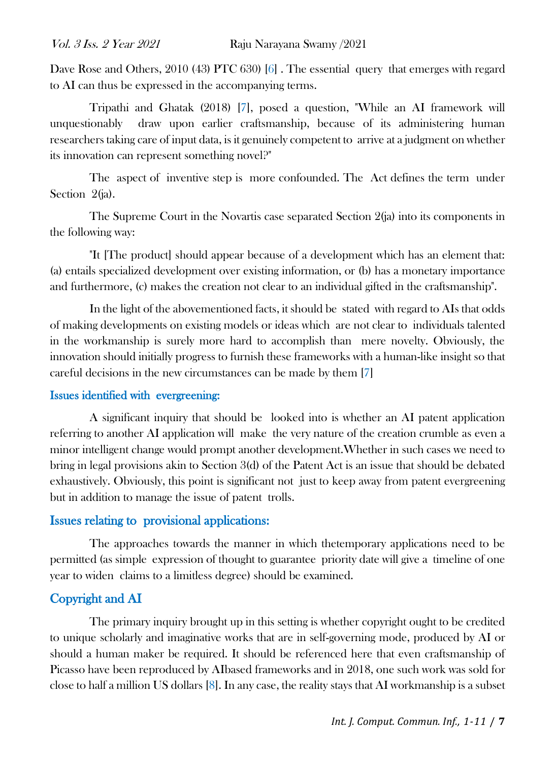Dave Rose and Others, 2010 (43) PTC 630) [6]. The essential query that emerges with regard to AI can thus be expressed in the accompanying terms.

Tripathi and Ghatak (2018) [7], posed a question, "While an AI framework will unquestionably draw upon earlier craftsmanship, because of its administering human researchers taking care of input data, is it genuinely competent to arrive at a judgment on whether its innovation can represent something novel?"

The aspect of inventive step is more confounded. The Act defines the term under Section 2(ja).

The Supreme Court in the Novartis case separated Section 2(ja) into its components in the following way:

"It [The product] should appear because of a development which has an element that: (a) entails specialized development over existing information, or (b) has a monetary importance and furthermore, (c) makes the creation not clear to an individual gifted in the craftsmanship".

In the light of the abovementioned facts, it should be stated with regard to AIs that odds of making developments on existing models or ideas which are not clear to individuals talented in the workmanship is surely more hard to accomplish than mere novelty. Obviously, the innovation should initially progress to furnish these frameworks with a human-like insight so that careful decisions in the new circumstances can be made by them [7]

#### Issues identified with evergreening:

A significant inquiry that should be looked into is whether an AI patent application referring to another AI application will make the very nature of the creation crumble as even a minor intelligent change would prompt another development.Whether in such cases we need to bring in legal provisions akin to Section 3(d) of the Patent Act is an issue that should be debated exhaustively. Obviously, this point is significant not just to keep away from patent evergreening but in addition to manage the issue of patent trolls.

## Issues relating to provisional applications:

The approaches towards the manner in which thetemporary applications need to be permitted (as simple expression of thought to guarantee priority date will give a timeline of one year to widen claims to a limitless degree) should be examined.

## Copyright and AI

The primary inquiry brought up in this setting is whether copyright ought to be credited to unique scholarly and imaginative works that are in self-governing mode, produced by AI or should a human maker be required. It should be referenced here that even craftsmanship of Picasso have been reproduced by AIbased frameworks and in 2018, one such work was sold for close to half a million US dollars [8]. In any case, the reality stays that AI workmanship is a subset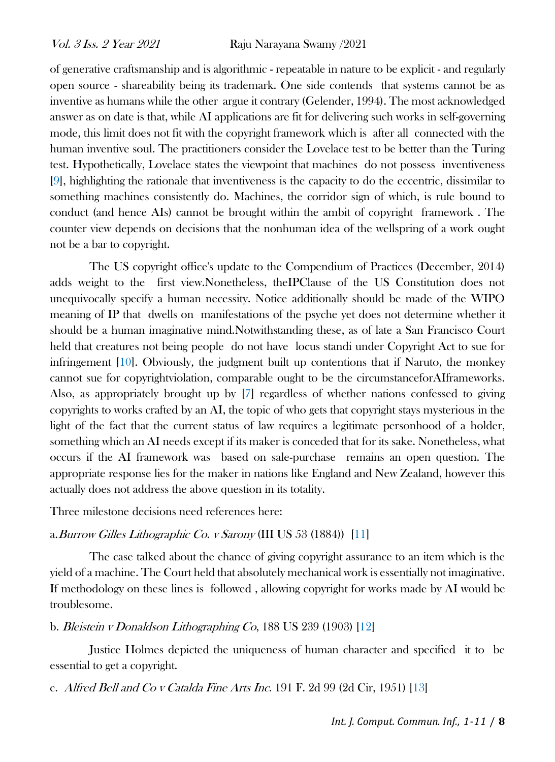of generative craftsmanship and is algorithmic - repeatable in nature to be explicit - and regularly open source - shareability being its trademark. One side contends that systems cannot be as inventive as humans while the other argue it contrary (Gelender, 1994). The most acknowledged answer as on date is that, while AI applications are fit for delivering such works in self-governing mode, this limit does not fit with the copyright framework which is after all connected with the human inventive soul. The practitioners consider the Lovelace test to be better than the Turing test. Hypothetically, Lovelace states the viewpoint that machines do not possess inventiveness [9], highlighting the rationale that inventiveness is the capacity to do the eccentric, dissimilar to something machines consistently do. Machines, the corridor sign of which, is rule bound to conduct (and hence AIs) cannot be brought within the ambit of copyright framework . The counter view depends on decisions that the nonhuman idea of the wellspring of a work ought not be a bar to copyright.

The US copyright office's update to the Compendium of Practices (December, 2014) adds weight to the first view.Nonetheless, theIPClause of the US Constitution does not unequivocally specify a human necessity. Notice additionally should be made of the WIPO meaning of IP that dwells on manifestations of the psyche yet does not determine whether it should be a human imaginative mind.Notwithstanding these, as of late a San Francisco Court held that creatures not being people do not have locus standi under Copyright Act to sue for infringement [10]. Obviously, the judgment built up contentions that if Naruto, the monkey cannot sue for copyrightviolation, comparable ought to be the circumstanceforAIframeworks. Also, as appropriately brought up by [7] regardless of whether nations confessed to giving copyrights to works crafted by an AI, the topic of who gets that copyright stays mysterious in the light of the fact that the current status of law requires a legitimate personhood of a holder, something which an AI needs except if its maker is conceded that for its sake. Nonetheless, what occurs if the AI framework was based on sale-purchase remains an open question. The appropriate response lies for the maker in nations like England and New Zealand, however this actually does not address the above question in its totality.

Three milestone decisions need references here:

#### a.Burrow Gilles Lithographic Co. v Sarony (III US 53 (1884)) [11]

The case talked about the chance of giving copyright assurance to an item which is the yield of a machine. The Court held that absolutely mechanical work is essentially not imaginative. If methodology on these lines is followed , allowing copyright for works made by AI would be troublesome.

b. Bleistein v Donaldson Lithographing Co, 188 US 239 (1903) [12]

Justice Holmes depicted the uniqueness of human character and specified it to be essential to get a copyright.

c. Alfred Bell and Co v Catalda Fine Arts Inc. 191 F. 2d 99 (2d Cir, 1951) [13]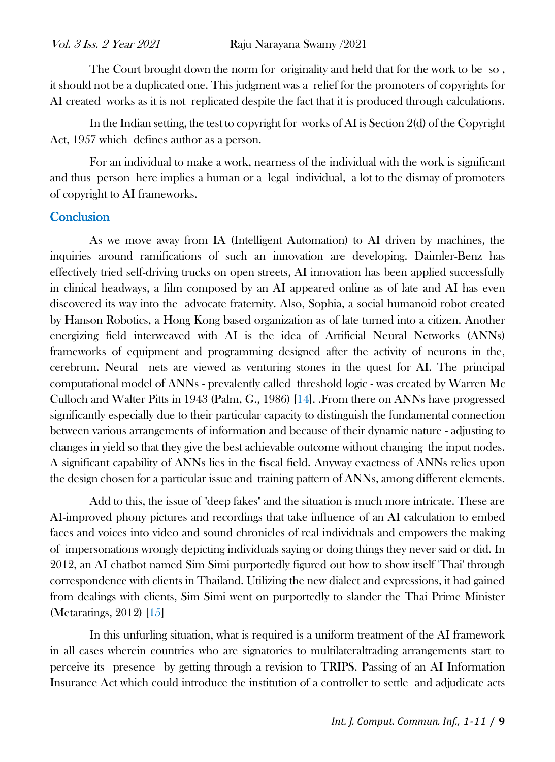The Court brought down the norm for originality and held that for the work to be so , it should not be a duplicated one. This judgment was a relief for the promoters of copyrights for AI created works as it is not replicated despite the fact that it is produced through calculations.

In the Indian setting, the test to copyright for works of AI is Section 2(d) of the Copyright Act, 1957 which defines author as a person.

For an individual to make a work, nearness of the individual with the work is significant and thus person here implies a human or a legal individual, a lot to the dismay of promoters of copyright to AI frameworks.

#### **Conclusion**

As we move away from IA (Intelligent Automation) to AI driven by machines, the inquiries around ramifications of such an innovation are developing. Daimler-Benz has effectively tried self-driving trucks on open streets, AI innovation has been applied successfully in clinical headways, a film composed by an AI appeared online as of late and AI has even discovered its way into the advocate fraternity. Also, Sophia, a social humanoid robot created by Hanson Robotics, a Hong Kong based organization as of late turned into a citizen. Another energizing field interweaved with AI is the idea of Artificial Neural Networks (ANNs) frameworks of equipment and programming designed after the activity of neurons in the, cerebrum. Neural nets are viewed as venturing stones in the quest for AI. The principal computational model of ANNs - prevalently called threshold logic - was created by Warren Mc Culloch and Walter Pitts in 1943 (Palm, G., 1986) [14]. .From there on ANNs have progressed significantly especially due to their particular capacity to distinguish the fundamental connection between various arrangements of information and because of their dynamic nature - adjusting to changes in yield so that they give the best achievable outcome without changing the input nodes. A significant capability of ANNs lies in the fiscal field. Anyway exactness of ANNs relies upon the design chosen for a particular issue and training pattern of ANNs, among different elements.

Add to this, the issue of "deep fakes" and the situation is much more intricate. These are AI-improved phony pictures and recordings that take influence of an AI calculation to embed faces and voices into video and sound chronicles of real individuals and empowers the making of impersonations wrongly depicting individuals saying or doing things they never said or did. In 2012, an AI chatbot named Sim Simi purportedly figured out how to show itself 'Thai' through correspondence with clients in Thailand. Utilizing the new dialect and expressions, it had gained from dealings with clients, Sim Simi went on purportedly to slander the Thai Prime Minister (Metaratings, 2012) [15]

In this unfurling situation, what is required is a uniform treatment of the AI framework in all cases wherein countries who are signatories to multilateraltrading arrangements start to perceive its presence by getting through a revision to TRIPS. Passing of an AI Information Insurance Act which could introduce the institution of a controller to settle and adjudicate acts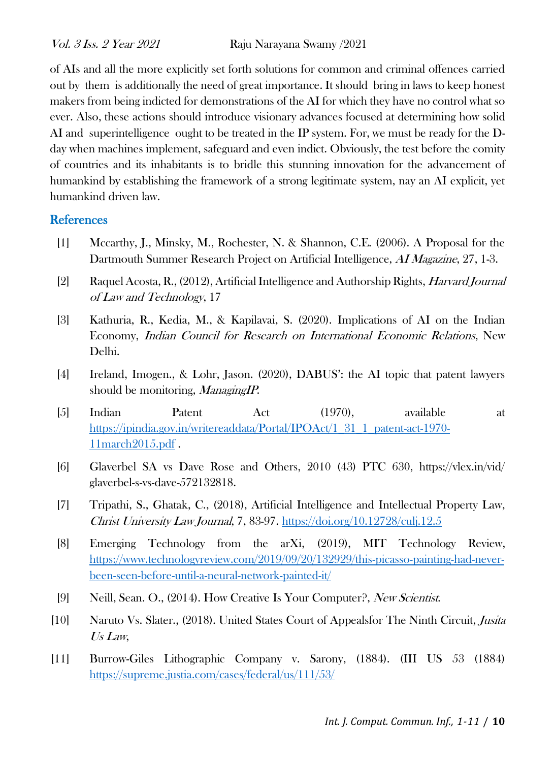of AIs and all the more explicitly set forth solutions for common and criminal offences carried out by them is additionally the need of great importance. It should bring in laws to keep honest makers from being indicted for demonstrations of the AI for which they have no control what so ever. Also, these actions should introduce visionary advances focused at determining how solid AI and superintelligence ought to be treated in the IP system. For, we must be ready for the Dday when machines implement, safeguard and even indict. Obviously, the test before the comity of countries and its inhabitants is to bridle this stunning innovation for the advancement of humankind by establishing the framework of a strong legitimate system, nay an AI explicit, yet humankind driven law.

## **References**

- [1] Mccarthy, J., Minsky, M., Rochester, N. & Shannon, C.E. (2006). A Proposal for the Dartmouth Summer Research Project on Artificial Intelligence, AI Magazine, 27, 1-3.
- [2] Raquel Acosta, R., (2012), Artificial Intelligence and Authorship Rights, Harvard Journal of Law and Technology, 17
- [3] Kathuria, R., Kedia, M., & Kapilavai, S. (2020). Implications of AI on the Indian Economy, Indian Council for Research on International Economic Relations, New Delhi.
- [4] Ireland, Imogen., & Lohr, Jason. (2020), DABUS': the AI topic that patent lawyers should be monitoring, *ManagingIP*.
- [5] Indian Patent Act (1970), available at [https://ipindia.gov.in/writereaddata/Portal/IPOAct/1\\_31\\_1\\_patent-act-1970-](https://ipindia.gov.in/writereaddata/Portal/IPOAct/1_31_1_patent-act-1970-11march2015.pdf) [11march2015.pdf](https://ipindia.gov.in/writereaddata/Portal/IPOAct/1_31_1_patent-act-1970-11march2015.pdf) .
- [6] Glaverbel SA vs Dave Rose and Others, 2010 (43) PTC 630, https://vlex.in/vid/ glaverbel-s-vs-dave-572132818.
- [7] Tripathi, S., Ghatak, C., (2018), Artificial Intelligence and Intellectual Property Law, Christ University Law Journal, 7, 83-97.<https://doi.org/10.12728/culj.12.5>
- [8] Emerging Technology from the arXi, (2019), MIT Technology Review, [https://www.technologyreview.com/2019/09/20/132929/this-picasso-painting-had-never](https://www.technologyreview.com/2019/09/20/132929/this-picasso-painting-had-never-been-seen-before-until-a-neural-network-painted-it/)[been-seen-before-until-a-neural-network-painted-it/](https://www.technologyreview.com/2019/09/20/132929/this-picasso-painting-had-never-been-seen-before-until-a-neural-network-painted-it/)
- [9] Neill, Sean. O., (2014). How Creative Is Your Computer?, New Scientist.
- [10] Naruto Vs. Slater., (2018). United States Court of Appealsfor The Ninth Circuit, Jusita Us Law,
- [11] Burrow-Giles Lithographic Company v. Sarony, (1884). (III US 53 (1884) <https://supreme.justia.com/cases/federal/us/111/53/>